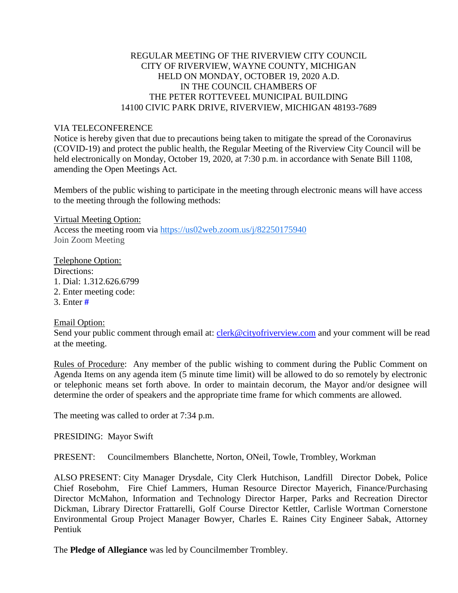# REGULAR MEETING OF THE RIVERVIEW CITY COUNCIL CITY OF RIVERVIEW, WAYNE COUNTY, MICHIGAN HELD ON MONDAY, OCTOBER 19, 2020 A.D. IN THE COUNCIL CHAMBERS OF THE PETER ROTTEVEEL MUNICIPAL BUILDING 14100 CIVIC PARK DRIVE, RIVERVIEW, MICHIGAN 48193-7689

## VIA TELECONFERENCE

Notice is hereby given that due to precautions being taken to mitigate the spread of the Coronavirus (COVID-19) and protect the public health, the Regular Meeting of the Riverview City Council will be held electronically on Monday, October 19, 2020, at 7:30 p.m. in accordance with Senate Bill 1108, amending the Open Meetings Act.

Members of the public wishing to participate in the meeting through electronic means will have access to the meeting through the following methods:

Virtual Meeting Option: Access the meeting room via [https://us02web.zoom.us/j/82250175940](https://www.google.com/url?q=https://us02web.zoom.us/j/82250175940&sa=D&source=calendar&ust=1603287084844000&usg=AOvVaw1DaRxkoiO4LxotCUyupNeQ) Join Zoom Meeting

Telephone Option: Directions: 1. Dial: 1.312.626.6799 2. Enter meeting code: 3. Enter **#**

Email Option:

Send your public comment through email at: [clerk@cityofriverview.com](mailto:clerk@cityofriverview.com) and your comment will be read at the meeting.

Rules of Procedure: Any member of the public wishing to comment during the Public Comment on Agenda Items on any agenda item (5 minute time limit) will be allowed to do so remotely by electronic or telephonic means set forth above. In order to maintain decorum, the Mayor and/or designee will determine the order of speakers and the appropriate time frame for which comments are allowed.

The meeting was called to order at 7:34 p.m.

PRESIDING: Mayor Swift

PRESENT: Councilmembers Blanchette, Norton, ONeil, Towle, Trombley, Workman

ALSO PRESENT: City Manager Drysdale, City Clerk Hutchison, Landfill Director Dobek, Police Chief Rosebohm, Fire Chief Lammers, Human Resource Director Mayerich, Finance/Purchasing Director McMahon, Information and Technology Director Harper, Parks and Recreation Director Dickman, Library Director Frattarelli, Golf Course Director Kettler, Carlisle Wortman Cornerstone Environmental Group Project Manager Bowyer, Charles E. Raines City Engineer Sabak, Attorney Pentiuk

The **Pledge of Allegiance** was led by Councilmember Trombley.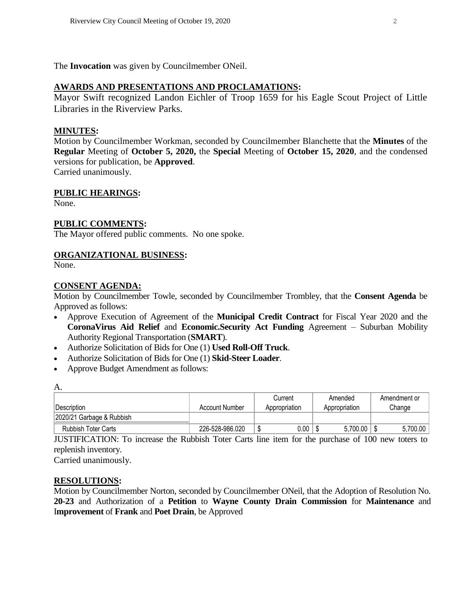The **Invocation** was given by Councilmember ONeil.

### **AWARDS AND PRESENTATIONS AND PROCLAMATIONS:**

Mayor Swift recognized Landon Eichler of Troop 1659 for his Eagle Scout Project of Little Libraries in the Riverview Parks.

#### **MINUTES:**

Motion by Councilmember Workman, seconded by Councilmember Blanchette that the **Minutes** of the **Regular** Meeting of **October 5, 2020,** the **Special** Meeting of **October 15, 2020**, and the condensed versions for publication, be **Approved**.

Carried unanimously.

#### **PUBLIC HEARINGS:**

None.

#### **PUBLIC COMMENTS:**

The Mayor offered public comments. No one spoke.

### **ORGANIZATIONAL BUSINESS:**

None.

#### **CONSENT AGENDA:**

Motion by Councilmember Towle, seconded by Councilmember Trombley, that the **Consent Agenda** be Approved as follows:

- Approve Execution of Agreement of the **Municipal Credit Contract** for Fiscal Year 2020 and the **CoronaVirus Aid Relief** and **Economic.Security Act Funding** Agreement – Suburban Mobility Authority Regional Transportation (**SMART**).
- Authorize Solicitation of Bids for One (1) **Used Roll-Off Truck**.
- Authorize Solicitation of Bids for One (1) **Skid-Steer Loader**.
- Approve Budget Amendment as follows:

| А.                         |                 |                |               |              |  |  |  |  |  |  |
|----------------------------|-----------------|----------------|---------------|--------------|--|--|--|--|--|--|
|                            |                 | Current        | Amended       | Amendment or |  |  |  |  |  |  |
| <b>IDescription</b>        | Account Number  | Appropriation  | Appropriation | Change       |  |  |  |  |  |  |
| 2020/21 Garbage & Rubbish  |                 |                |               |              |  |  |  |  |  |  |
| <b>Rubbish Toter Carts</b> | 226-528-986.020 | $0.00\,$<br>۰D | 5,700.00      | 5,700.00     |  |  |  |  |  |  |

JUSTIFICATION: To increase the Rubbish Toter Carts line item for the purchase of 100 new toters to replenish inventory.

Carried unanimously.

#### **RESOLUTIONS:**

Motion by Councilmember Norton, seconded by Councilmember ONeil, that the Adoption of Resolution No. **20-23** and Authorization of a **Petition** to **Wayne County Drain Commission** for **Maintenance** and I**mprovement** of **Frank** and **Poet Drain**, be Approved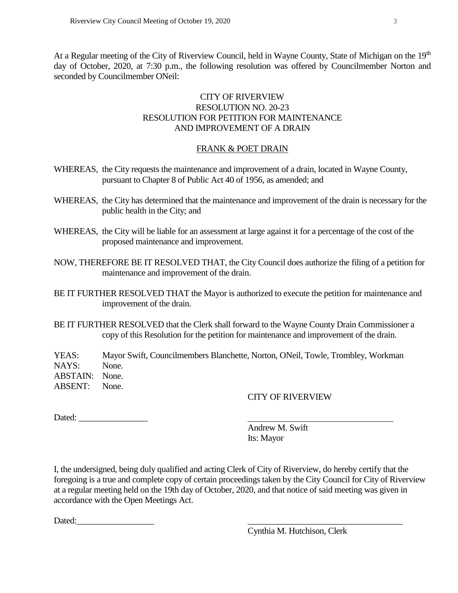At a Regular meeting of the City of Riverview Council, held in Wayne County, State of Michigan on the 19<sup>th</sup> day of October, 2020, at 7:30 p.m., the following resolution was offered by Councilmember Norton and seconded by Councilmember ONeil:

# CITY OF RIVERVIEW RESOLUTION NO. 20-23 RESOLUTION FOR PETITION FOR MAINTENANCE AND IMPROVEMENT OF A DRAIN

## FRANK & POET DRAIN

- WHEREAS, the City requests the maintenance and improvement of a drain, located in Wayne County, pursuant to Chapter 8 of Public Act 40 of 1956, as amended; and
- WHEREAS, the City has determined that the maintenance and improvement of the drain is necessary for the public health in the City; and
- WHEREAS, the City will be liable for an assessment at large against it for a percentage of the cost of the proposed maintenance and improvement.
- NOW, THEREFORE BE IT RESOLVED THAT, the City Council does authorize the filing of a petition for maintenance and improvement of the drain.
- BE IT FURTHER RESOLVED THAT the Mayor is authorized to execute the petition for maintenance and improvement of the drain.
- BE IT FURTHER RESOLVED that the Clerk shall forward to the Wayne County Drain Commissioner a copy of this Resolution for the petition for maintenance and improvement of the drain.

YEAS: Mayor Swift, Councilmembers Blanchette, Norton, ONeil, Towle, Trombley, Workman NAYS: None. ABSTAIN: None. ABSENT: None.

# CITY OF RIVERVIEW

Dated: \_\_\_\_\_\_\_\_\_\_\_\_\_\_\_\_

Andrew M. Swift Its: Mayor

I, the undersigned, being duly qualified and acting Clerk of City of Riverview, do hereby certify that the foregoing is a true and complete copy of certain proceedings taken by the City Council for City of Riverview at a regular meeting held on the 19th day of October, 2020, and that notice of said meeting was given in accordance with the Open Meetings Act.

Dated:

Cynthia M. Hutchison, Clerk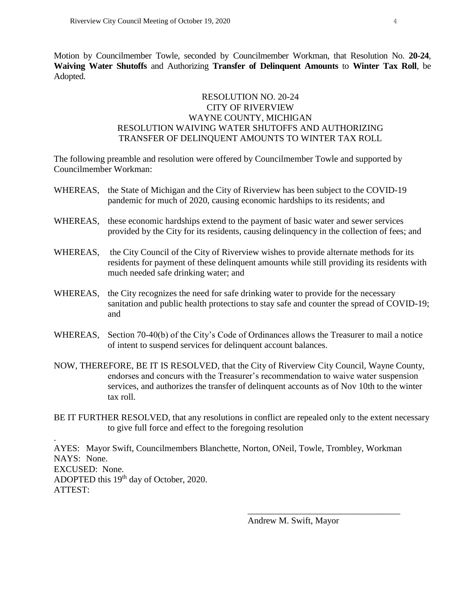.

Motion by Councilmember Towle, seconded by Councilmember Workman, that Resolution No. **20-24**, **Waiving Water Shutoffs** and Authorizing **Transfer of Delinquent Amounts** to **Winter Tax Roll**, be Adopted.

## RESOLUTION NO. 20-24 CITY OF RIVERVIEW WAYNE COUNTY, MICHIGAN RESOLUTION WAIVING WATER SHUTOFFS AND AUTHORIZING TRANSFER OF DELINQUENT AMOUNTS TO WINTER TAX ROLL

The following preamble and resolution were offered by Councilmember Towle and supported by Councilmember Workman:

- WHEREAS, the State of Michigan and the City of Riverview has been subject to the COVID-19 pandemic for much of 2020, causing economic hardships to its residents; and
- WHEREAS, these economic hardships extend to the payment of basic water and sewer services provided by the City for its residents, causing delinquency in the collection of fees; and
- WHEREAS, the City Council of the City of Riverview wishes to provide alternate methods for its residents for payment of these delinquent amounts while still providing its residents with much needed safe drinking water; and
- WHEREAS, the City recognizes the need for safe drinking water to provide for the necessary sanitation and public health protections to stay safe and counter the spread of COVID-19; and
- WHEREAS, Section 70-40(b) of the City's Code of Ordinances allows the Treasurer to mail a notice of intent to suspend services for delinquent account balances.
- NOW, THEREFORE, BE IT IS RESOLVED, that the City of Riverview City Council, Wayne County, endorses and concurs with the Treasurer's recommendation to waive water suspension services, and authorizes the transfer of delinquent accounts as of Nov 10th to the winter tax roll.
- BE IT FURTHER RESOLVED, that any resolutions in conflict are repealed only to the extent necessary to give full force and effect to the foregoing resolution

AYES: Mayor Swift, Councilmembers Blanchette, Norton, ONeil, Towle, Trombley, Workman NAYS: None. EXCUSED: None. ADOPTED this 19<sup>th</sup> day of October, 2020. ATTEST:

Andrew M. Swift, Mayor

\_\_\_\_\_\_\_\_\_\_\_\_\_\_\_\_\_\_\_\_\_\_\_\_\_\_\_\_\_\_\_\_\_\_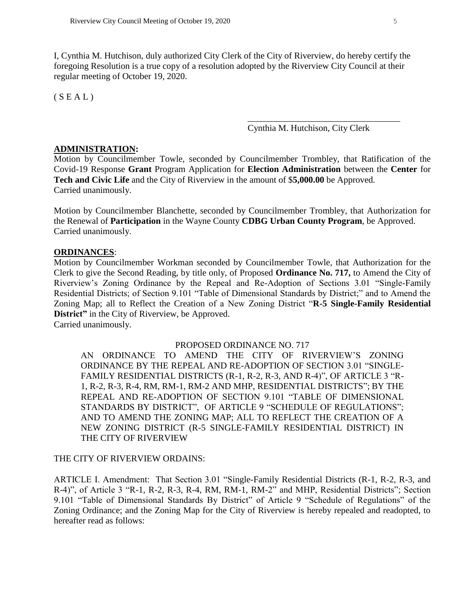I, Cynthia M. Hutchison, duly authorized City Clerk of the City of Riverview, do hereby certify the foregoing Resolution is a true copy of a resolution adopted by the Riverview City Council at their regular meeting of October 19, 2020.

 $(S E A L)$ 

Cynthia M. Hutchison, City Clerk

\_\_\_\_\_\_\_\_\_\_\_\_\_\_\_\_\_\_\_\_\_\_\_\_\_\_\_\_\_\_\_\_\_\_

## **ADMINISTRATION:**

Motion by Councilmember Towle, seconded by Councilmember Trombley, that Ratification of the Covid-19 Response **Grant** Program Application for **Election Administration** between the **Center** for **Tech and Civic Life** and the City of Riverview in the amount of \$**5,000.00** be Approved. Carried unanimously.

Motion by Councilmember Blanchette, seconded by Councilmember Trombley, that Authorization for the Renewal of **Participation** in the Wayne County **CDBG Urban County Program**, be Approved. Carried unanimously.

### **ORDINANCES**:

Motion by Councilmember Workman seconded by Councilmember Towle, that Authorization for the Clerk to give the Second Reading, by title only, of Proposed **Ordinance No. 717,** to Amend the City of Riverview's Zoning Ordinance by the Repeal and Re-Adoption of Sections 3.01 "Single-Family Residential Districts; of Section 9.101 "Table of Dimensional Standards by District;" and to Amend the Zoning Map; all to Reflect the Creation of a New Zoning District "**R-5 Single-Family Residential District"** in the City of Riverview, be Approved.

Carried unanimously.

### PROPOSED ORDINANCE NO. 717

AN ORDINANCE TO AMEND THE CITY OF RIVERVIEW'S ZONING ORDINANCE BY THE REPEAL AND RE-ADOPTION OF SECTION 3.01 "SINGLE-FAMILY RESIDENTIAL DISTRICTS (R-1, R-2, R-3, AND R-4)", OF ARTICLE 3 "R-1, R-2, R-3, R-4, RM, RM-1, RM-2 AND MHP, RESIDENTIAL DISTRICTS"; BY THE REPEAL AND RE-ADOPTION OF SECTION 9.101 "TABLE OF DIMENSIONAL STANDARDS BY DISTRICT", OF ARTICLE 9 "SCHEDULE OF REGULATIONS"; AND TO AMEND THE ZONING MAP; ALL TO REFLECT THE CREATION OF A NEW ZONING DISTRICT (R-5 SINGLE-FAMILY RESIDENTIAL DISTRICT) IN THE CITY OF RIVERVIEW

### THE CITY OF RIVERVIEW ORDAINS:

ARTICLE I. Amendment: That Section 3.01 "Single-Family Residential Districts (R-1, R-2, R-3, and R-4)", of Article 3 "R-1, R-2, R-3, R-4, RM, RM-1, RM-2" and MHP, Residential Districts"; Section 9.101 "Table of Dimensional Standards By District" of Article 9 "Schedule of Regulations" of the Zoning Ordinance; and the Zoning Map for the City of Riverview is hereby repealed and readopted, to hereafter read as follows: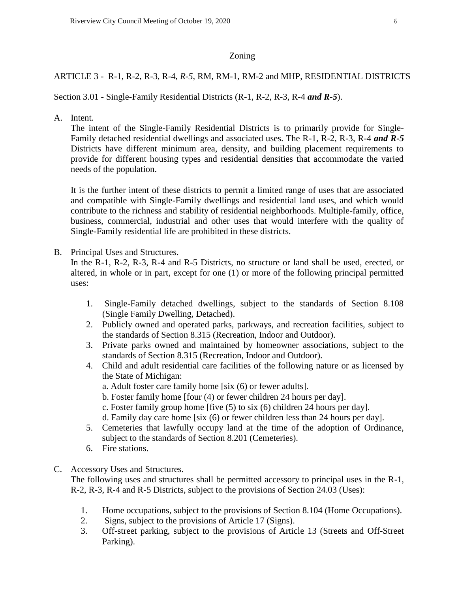## Zoning

# ARTICLE 3 - R-1, R-2, R-3, R-4*, R-5*, RM, RM-1, RM-2 and MHP, RESIDENTIAL DISTRICTS

Section 3.01 - Single-Family Residential Districts (R-1, R-2, R-3, R-4 *and R-5*).

A. Intent.

The intent of the Single-Family Residential Districts is to primarily provide for Single-Family detached residential dwellings and associated uses. The R-1, R-2, R-3, R-4 *and R-5* Districts have different minimum area, density, and building placement requirements to provide for different housing types and residential densities that accommodate the varied needs of the population.

It is the further intent of these districts to permit a limited range of uses that are associated and compatible with Single-Family dwellings and residential land uses, and which would contribute to the richness and stability of residential neighborhoods. Multiple-family, office, business, commercial, industrial and other uses that would interfere with the quality of Single-Family residential life are prohibited in these districts.

B. Principal Uses and Structures.

In the R-1, R-2, R-3, R-4 and R-5 Districts, no structure or land shall be used, erected, or altered, in whole or in part, except for one (1) or more of the following principal permitted uses:

- 1. Single-Family detached dwellings, subject to the standards of Section 8.108 (Single Family Dwelling, Detached).
- 2. Publicly owned and operated parks, parkways, and recreation facilities, subject to the standards of Section 8.315 (Recreation, Indoor and Outdoor).
- 3. Private parks owned and maintained by homeowner associations, subject to the standards of Section 8.315 (Recreation, Indoor and Outdoor).
- 4. Child and adult residential care facilities of the following nature or as licensed by the State of Michigan:
	- a. Adult foster care family home [six (6) or fewer adults].
	- b. Foster family home [four (4) or fewer children 24 hours per day].
	- c. Foster family group home [five (5) to six (6) children 24 hours per day].
	- d. Family day care home [six (6) or fewer children less than 24 hours per day].
- 5. Cemeteries that lawfully occupy land at the time of the adoption of Ordinance, subject to the standards of Section 8.201 (Cemeteries).
- 6. Fire stations.
- C. Accessory Uses and Structures.

The following uses and structures shall be permitted accessory to principal uses in the R-1, R-2, R-3, R-4 and R-5 Districts, subject to the provisions of Section 24.03 (Uses):

- 1. Home occupations, subject to the provisions of Section 8.104 (Home Occupations).
- 2. Signs, subject to the provisions of Article 17 (Signs).
- 3. Off-street parking, subject to the provisions of Article 13 (Streets and Off-Street Parking).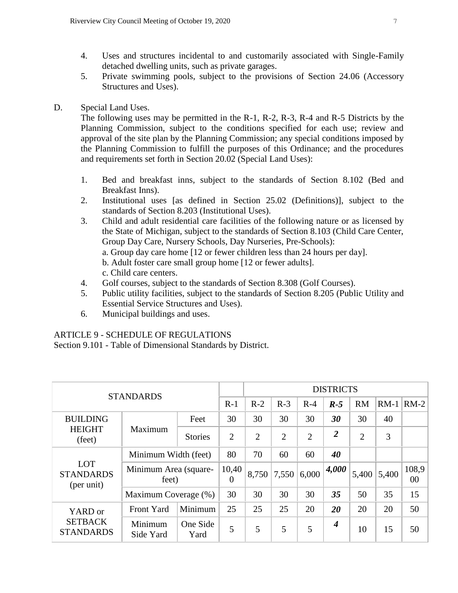- 4. Uses and structures incidental to and customarily associated with Single-Family detached dwelling units, such as private garages.
- 5. Private swimming pools, subject to the provisions of Section 24.06 (Accessory Structures and Uses).
- D. Special Land Uses.

The following uses may be permitted in the R-1, R-2, R-3, R-4 and R-5 Districts by the Planning Commission, subject to the conditions specified for each use; review and approval of the site plan by the Planning Commission; any special conditions imposed by the Planning Commission to fulfill the purposes of this Ordinance; and the procedures and requirements set forth in Section 20.02 (Special Land Uses):

- 1. Bed and breakfast inns, subject to the standards of Section 8.102 (Bed and Breakfast Inns).
- 2. Institutional uses [as defined in Section 25.02 (Definitions)], subject to the standards of Section 8.203 (Institutional Uses).
- 3. Child and adult residential care facilities of the following nature or as licensed by the State of Michigan, subject to the standards of Section 8.103 (Child Care Center, Group Day Care, Nursery Schools, Day Nurseries, Pre-Schools): a. Group day care home [12 or fewer children less than 24 hours per day]. b. Adult foster care small group home [12 or fewer adults]. c. Child care centers.
- 4. Golf courses, subject to the standards of Section 8.308 (Golf Courses).
- 5. Public utility facilities, subject to the standards of Section 8.205 (Public Utility and Essential Service Structures and Uses).
- 6. Municipal buildings and uses.

# ARTICLE 9 - SCHEDULE OF REGULATIONS

Section 9.101 - Table of Dimensional Standards by District.

| <b>STANDARDS</b>                              |                                |                  | <b>DISTRICTS</b>  |       |                |                |                  |                |                |             |
|-----------------------------------------------|--------------------------------|------------------|-------------------|-------|----------------|----------------|------------------|----------------|----------------|-------------|
|                                               |                                | $R-1$            | $R-2$             | $R-3$ | $R-4$          | $R-5$          | <b>RM</b>        | $RM-1$         | $RM-2$         |             |
| <b>BUILDING</b><br><b>HEIGHT</b><br>(feet)    | Maximum                        | Feet             | 30                | 30    | 30             | 30             | 30               | 30             | 40             |             |
|                                               |                                | <b>Stories</b>   | $\overline{2}$    | 2     | $\overline{2}$ | $\overline{2}$ | $\overline{2}$   | $\overline{2}$ | 3              |             |
| <b>LOT</b><br><b>STANDARDS</b><br>(per unit)  | Minimum Width (feet)           |                  | 80                | 70    | 60             | 60             | 40               |                |                |             |
|                                               | Minimum Area (square-<br>feet) |                  | 10,40<br>$\Omega$ | 8,750 | 7,550          | 6,000          | 4,000            | 5,400          | 5,400          | 108.9<br>00 |
|                                               | Maximum Coverage (%)           |                  | 30                | 30    | 30             | 30             | 35               | 50             | 35<br>20<br>15 | 15          |
| YARD or<br><b>SETBACK</b><br><b>STANDARDS</b> | <b>Front Yard</b>              | Minimum          | 25                | 25    | 25             | 20             | 20               | 20             |                | 50          |
|                                               | Minimum<br>Side Yard           | One Side<br>Yard | 5                 | 5     | 5              | 5              | $\boldsymbol{4}$ | 10             |                | 50          |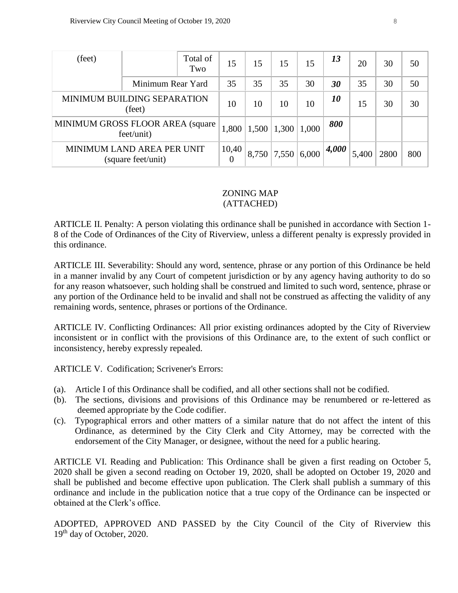| (feet)                                           |                   | Total of<br>Two | 15    | 15            | 15    | 15    | 13    | 20   | 30  | 50 |
|--------------------------------------------------|-------------------|-----------------|-------|---------------|-------|-------|-------|------|-----|----|
|                                                  | Minimum Rear Yard |                 | 35    | 35            | 35    | 30    | 30    | 35   | 30  | 50 |
| MINIMUM BUILDING SEPARATION<br>(feet)            |                   | 10              | 10    | 10            | 10    | 10    | 15    | 30   | 30  |    |
| MINIMUM GROSS FLOOR AREA (square<br>feet/unit)   |                   | 1,800           | 1,500 | 1,300         | 1,000 | 800   |       |      |     |    |
| MINIMUM LAND AREA PER UNIT<br>(square feet/unit) |                   | 10,40<br>0      |       | $8,750$ 7,550 | 6,000 | 4,000 | 5,400 | 2800 | 800 |    |

#### ZONING MAP (ATTACHED)

# ARTICLE II. Penalty: A person violating this ordinance shall be punished in accordance with Section 1- 8 of the Code of Ordinances of the City of Riverview, unless a different penalty is expressly provided in this ordinance.

ARTICLE III. Severability: Should any word, sentence, phrase or any portion of this Ordinance be held in a manner invalid by any Court of competent jurisdiction or by any agency having authority to do so for any reason whatsoever, such holding shall be construed and limited to such word, sentence, phrase or any portion of the Ordinance held to be invalid and shall not be construed as affecting the validity of any remaining words, sentence, phrases or portions of the Ordinance.

ARTICLE IV. Conflicting Ordinances: All prior existing ordinances adopted by the City of Riverview inconsistent or in conflict with the provisions of this Ordinance are, to the extent of such conflict or inconsistency, hereby expressly repealed.

ARTICLE V. Codification; Scrivener's Errors:

- (a). Article I of this Ordinance shall be codified, and all other sections shall not be codified.
- (b). The sections, divisions and provisions of this Ordinance may be renumbered or re-lettered as deemed appropriate by the Code codifier.
- (c). Typographical errors and other matters of a similar nature that do not affect the intent of this Ordinance, as determined by the City Clerk and City Attorney, may be corrected with the endorsement of the City Manager, or designee, without the need for a public hearing.

ARTICLE VI. Reading and Publication: This Ordinance shall be given a first reading on October 5, 2020 shall be given a second reading on October 19, 2020, shall be adopted on October 19, 2020 and shall be published and become effective upon publication. The Clerk shall publish a summary of this ordinance and include in the publication notice that a true copy of the Ordinance can be inspected or obtained at the Clerk's office.

ADOPTED, APPROVED AND PASSED by the City Council of the City of Riverview this 19<sup>th</sup> day of October, 2020.